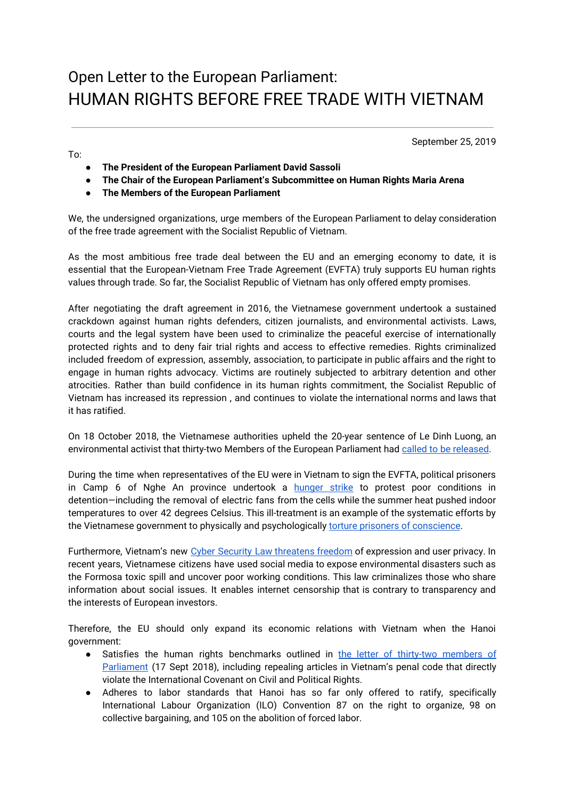## Open Letter to the European Parliament: HUMAN RIGHTS BEFORE FREE TRADE WITH VIETNAM

September 25, 2019

- **● The President of the European Parliament David Sassoli**
- **● The Chair of the European Parliament's Subcommittee on Human Rights Maria Arena**
- **● The Members of the European Parliament**

We, the undersigned organizations, urge members of the European Parliament to delay consideration of the free trade agreement with the Socialist Republic of Vietnam.

As the most ambitious free trade deal between the EU and an emerging economy to date, it is essential that the European-Vietnam Free Trade Agreement (EVFTA) truly supports EU human rights values through trade. So far, the Socialist Republic of Vietnam has only offered empty promises.

After negotiating the draft agreement in 2016, the Vietnamese government undertook a sustained crackdown against human rights defenders, citizen journalists, and environmental activists. Laws, courts and the legal system have been used to criminalize the peaceful exercise of internationally protected rights and to deny fair trial rights and access to effective remedies. Rights criminalized included freedom of expression, assembly, association, to participate in public affairs and the right to engage in human rights advocacy. Victims are routinely subjected to arbitrary detention and other atrocities. Rather than build confidence in its human rights commitment, the Socialist Republic of Vietnam has increased its repression , and continues to violate the international norms and laws that it has ratified.

On 18 October 2018, the Vietnamese authorities upheld the 20-year sentence of Le Dinh Luong, an environmental activist that thirty-two Members of the European Parliament had called to be [released.](http://tremosa.cat/noticies/32-meps-send-joint-letter-mrs-mogherini-and-commissioner-malmstrom-ask-more-human-rights-progress-vietnam)

During the time when representatives of the EU were in Vietnam to sign the EVFTA, political prisoners in Camp 6 of Nghe An province undertook a **[hunger](https://www.ucanews.com/news/activists-join-prisoners-on-hunger-strike-in-vietnam/85540) strike** to protest poor conditions in detention—including the removal of electric fans from the cells while the summer heat pushed indoor temperatures to over 42 degrees Celsius. This ill-treatment is an example of the systematic efforts by the Vietnamese government to physically and psychologically torture prisoners of [conscience.](https://www.acatfrance.fr/public/joint-report-for-the-examination-of-vietnam-by-uncat_1.pdf)

Furthermore, Vietnam's new Cyber Security Law [threatens](https://rsf.org/en/news/rsf-calls-repeal-vietnams-new-cybersecurity-law) freedom of expression and user privacy. In recent years, Vietnamese citizens have used social media to expose environmental disasters such as the Formosa toxic spill and uncover poor working conditions. This law criminalizes those who share information about social issues. It enables internet censorship that is contrary to transparency and the interests of European investors.

Therefore, the EU should only expand its economic relations with Vietnam when the Hanoi government:

- Satisfies the human rights benchmarks outlined in the letter of thirty-two [members](http://tremosa.cat/noticies/32-meps-send-joint-letter-mrs-mogherini-and-commissioner-malmstrom-ask-more-human-rights-progress-vietnam) of [Parliament](http://tremosa.cat/noticies/32-meps-send-joint-letter-mrs-mogherini-and-commissioner-malmstrom-ask-more-human-rights-progress-vietnam) (17 Sept 2018), including repealing articles in Vietnam's penal code that directly violate the International Covenant on Civil and Political Rights.
- Adheres to labor standards that Hanoi has so far only offered to ratify, specifically International Labour Organization (ILO) Convention 87 on the right to organize, 98 on collective bargaining, and 105 on the abolition of forced labor.

To: